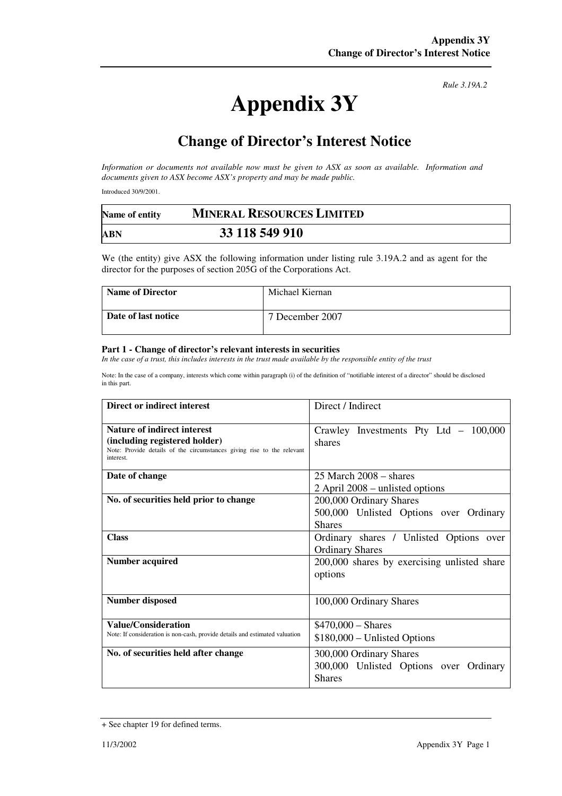## **Appendix 3Y**

*Rule 3.19A.2*

## **Change of Director's Interest Notice**

*Information or documents not available now must be given to ASX as soon as available. Information and documents given to ASX become ASX's property and may be made public.* 

Introduced 30/9/2001.

| Name of entity | <b>MINERAL RESOURCES LIMITED</b> |  |
|----------------|----------------------------------|--|
| ABN            | 33 118 549 910                   |  |

We (the entity) give ASX the following information under listing rule 3.19A.2 and as agent for the director for the purposes of section 205G of the Corporations Act.

| Name of Director    | Michael Kiernan |
|---------------------|-----------------|
| Date of last notice | 7 December 2007 |

## **Part 1 - Change of director's relevant interests in securities**

In the case of a trust, this includes interests in the trust made available by the responsible entity of the trust

Note: In the case of a company, interests which come within paragraph (i) of the definition of "notifiable interest of a director" should be disclosed in this part.

| Direct or indirect interest                                                                                                                                | Direct / Indirect                                                                  |
|------------------------------------------------------------------------------------------------------------------------------------------------------------|------------------------------------------------------------------------------------|
| <b>Nature of indirect interest</b><br>(including registered holder)<br>Note: Provide details of the circumstances giving rise to the relevant<br>interest. | Crawley Investments Pty Ltd $-100,000$<br>shares                                   |
| Date of change                                                                                                                                             | $25$ March $2008 -$ shares<br>2 April 2008 – unlisted options                      |
| No. of securities held prior to change                                                                                                                     | 200,000 Ordinary Shares<br>500,000 Unlisted Options over Ordinary<br><b>Shares</b> |
| <b>Class</b>                                                                                                                                               | Ordinary shares / Unlisted Options over<br><b>Ordinary Shares</b>                  |
| <b>Number acquired</b>                                                                                                                                     | 200,000 shares by exercising unlisted share<br>options                             |
| <b>Number disposed</b>                                                                                                                                     | 100,000 Ordinary Shares                                                            |
| <b>Value/Consideration</b><br>Note: If consideration is non-cash, provide details and estimated valuation                                                  | $$470,000 - Shares$<br>$$180,000 - Unlisted Options$                               |
| No. of securities held after change                                                                                                                        | 300,000 Ordinary Shares<br>300,000 Unlisted Options over Ordinary<br><b>Shares</b> |

<sup>+</sup> See chapter 19 for defined terms.